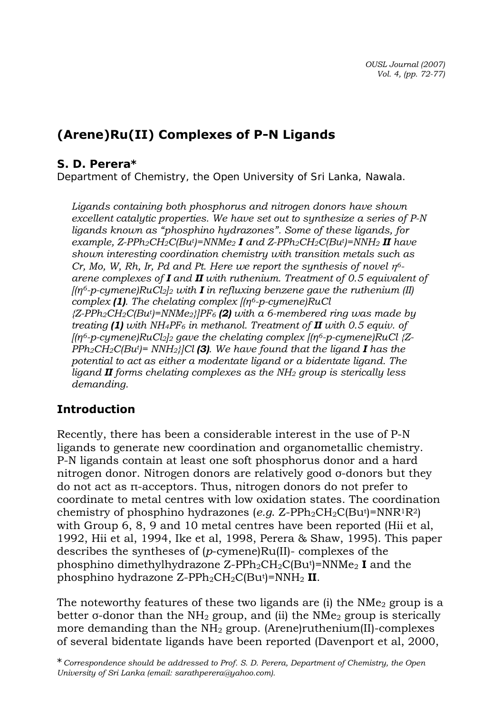## **(Arene)Ru(II) Complexes of P-N Ligands**

#### *S. D. Perera\**

*Department of Chemistry, the Open University of Sri Lanka, Nawala.* 

*Ligands containing both phosphorus and nitrogen donors have shown excellent catalytic properties. We have set out to synthesize a series of P-N ligands known as "phosphino hydrazones". Some of these ligands, for example, Z-PPh2CH2C(But )=NNMe2 I and Z-PPh2CH2C(But )=NNH2 II have shown interesting coordination chemistry with transition metals such as Cr, Mo, W, Rh, Ir, Pd and Pt. Here we report the synthesis of novel η<sup>6</sup>arene complexes of I and II with ruthenium. Treatment of 0.5 equivalent of [(η6-p-cymene)RuCl2]2 with I in refluxing benzene gave the ruthenium (II) complex (1). The chelating complex [(η6-p-cymene)RuCl {Z-PPh2CH2C(But )=NNMe2}]PF6 (2) with a 6-membered ring was made by treating (1) with NH4PF6 in methanol. Treatment of II with 0.5 equiv. of [(η6-p-cymene)RuCl2]2 gave the chelating complex [(η6-p-cymene)RuCl {Z-PPh2CH2C(But )= NNH2}]Cl (3). We have found that the ligand I has the potential to act as either a modentate ligand or a bidentate ligand. The ligand II forms chelating complexes as the NH2 group is sterically less demanding.* 

### **Introduction**

Recently, there has been a considerable interest in the use of P-N ligands to generate new coordination and organometallic chemistry. P-N ligands contain at least one soft phosphorus donor and a hard nitrogen donor. Nitrogen donors are relatively good σ-donors but they do not act as π-acceptors. Thus, nitrogen donors do not prefer to coordinate to metal centres with low oxidation states. The coordination chemistry of phosphino hydrazones (*e.g.* Z-PPh<sub>2</sub>CH<sub>2</sub>C(Bu<sup>t</sup>)=NNR<sup>1</sup>R<sup>2</sup>) with Group 6, 8, 9 and 10 metal centres have been reported (Hii et al, 1992, Hii et al, 1994, Ike et al, 1998, Perera & Shaw, 1995). This paper describes the syntheses of (*p*-cymene)Ru(II)- complexes of the phosphino dimethylhydrazone Z-PPh2CH2C(But)=NNMe2 **I** and the phosphino hydrazone Z-PPh2CH2C(But)=NNH2 **II**.

The noteworthy features of these two ligands are (i) the  $NMe<sub>2</sub>$  group is a better  $\sigma$ -donor than the NH<sub>2</sub> group, and (ii) the NMe<sub>2</sub> group is sterically more demanding than the  $NH<sub>2</sub>$  group. (Arene)ruthenium(II)-complexes of several bidentate ligands have been reported (Davenport et al, 2000,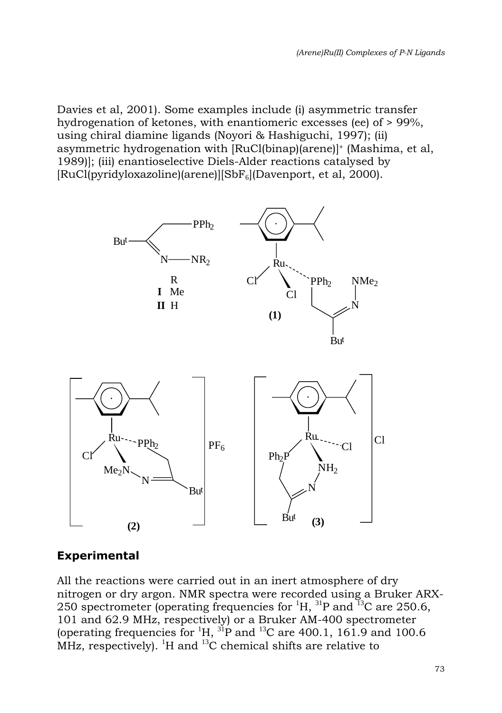Davies et al, 2001). Some examples include (i) asymmetric transfer hydrogenation of ketones, with enantiomeric excesses (ee) of > 99%, using chiral diamine ligands (Noyori & Hashiguchi, 1997); (ii) asymmetric hydrogenation with [RuCl(binap)(arene)]+ (Mashima, et al, 1989)]; (iii) enantioselective Diels-Alder reactions catalysed by [RuCl(pyridyloxazoline)(arene)][SbF6](Davenport, et al, 2000).



#### **Experimental**

All the reactions were carried out in an inert atmosphere of dry nitrogen or dry argon. NMR spectra were recorded using a Bruker ARX-250 spectrometer (operating frequencies for  ${}^{1}H$ ,  ${}^{31}P$  and  ${}^{13}C$  are 250.6, 101 and 62.9 MHz, respectively) or a Bruker AM-400 spectrometer (operating frequencies for <sup>1</sup>H, <sup>31</sup>P and <sup>13</sup>C are 400.1, 161.9 and 100.6 MHz, respectively).  ${}^{1}H$  and  ${}^{13}C$  chemical shifts are relative to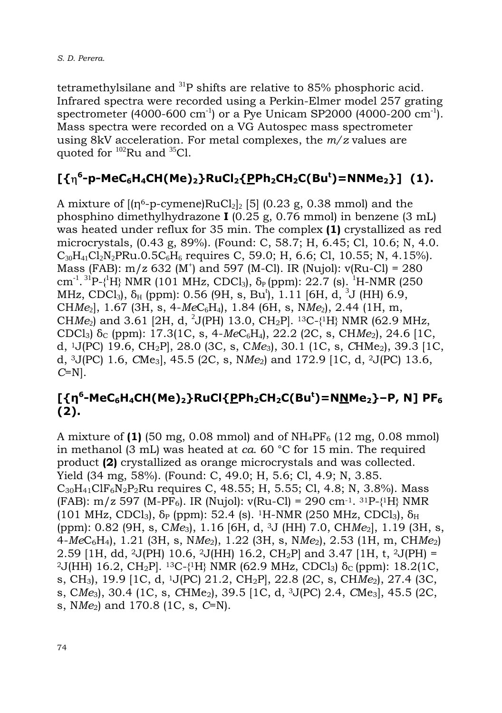tetramethylsilane and <sup>31</sup>P shifts are relative to 85% phosphoric acid. Infrared spectra were recorded using a Perkin-Elmer model 257 grating spectrometer (4000-600 cm<sup>-1</sup>) or a Pye Unicam SP2000 (4000-200 cm<sup>-1</sup>). Mass spectra were recorded on a VG Autospec mass spectrometer using 8kV acceleration. For metal complexes, the *m/z* values are quoted for  $^{102}$ Ru and  $^{35}$ Cl.

# **[{**η**<sup>6</sup> -***p***-MeC6H4CH(Me)2}RuCl2{PPh2CH2C(But )=NNMe2}] (1).**

A mixture of  $[(n^6-p-cymene)RuCl<sub>2</sub>]$  [5] (0.23 g, 0.38 mmol) and the phosphino dimethylhydrazone **I** (0.25 g, 0.76 mmol) in benzene (3 mL) was heated under reflux for 35 min. The complex **(1)** crystallized as red microcrystals, (0.43 g, 89%). (Found: C, 58.7; H, 6.45; Cl, 10.6; N, 4.0.  $C_{30}H_{41}Cl_2N_2PRu.0.5C_6H_6$  requires C, 59.0; H, 6.6; Cl, 10.55; N, 4.15%). Mass (FAB):  $m/z$  632 (M<sup>+</sup>) and 597 (M-Cl). IR (Nujol):  $v(Ru$ -Cl) = 280 cm<sup>-1</sup>.<sup>31</sup>P-{<sup>1</sup>H} NMR (101 MHz, CDCl<sub>3</sub>),  $\delta_P$  (ppm): 22.7 (s). <sup>1</sup>H-NMR (250 MHz, CDCl<sub>3</sub>),  $\delta_H$  (ppm): 0.56 (9H, s, Bu<sup>1</sup>), 1.11 [6H, d, <sup>3</sup>J (HH) 6.9, CH*Me*<sub>2</sub>, 1.67 (3H, s, 4-*Me*C<sub>6</sub>H<sub>4</sub>), 1.84 (6H, s, N*Me*<sub>2</sub>), 2.44 (1H, m, CHMe<sub>2</sub>) and 3.61 [2H, d, <sup>2</sup>J(PH) 13.0, CH<sub>2</sub>P]. <sup>13</sup>C-{<sup>1</sup>H} NMR (62.9 MHz, CDCl<sub>3</sub>) δ<sub>C</sub> (ppm): 17.3(1C, s, 4-*Me*C<sub>6</sub>H<sub>4</sub>), 22.2 (2C, s, CH*Me*<sub>2</sub>), 24.6 [1C, d, 1J(PC) 19.6, CH2P], 28.0 (3C, s, C*Me*3), 30.1 (1C, s, *C*HMe2), 39.3 [1C, d, 3J(PC) 1.6, *C*Me3], 45.5 (2C, s, N*Me*2) and 172.9 [1C, d, 2J(PC) 13.6, *C*=N].

#### **[{η<sup>6</sup> -MeC6H4CH(Me)2}RuCl{PPh2CH2C(But )=NNMe2}–P, N] PF6 (2).**

A mixture of **(1)** (50 mg, 0.08 mmol) and of NH4PF6 (12 mg, 0.08 mmol) in methanol (3 mL) was heated at *ca*. 60 °C for 15 min. The required product **(2)** crystallized as orange microcrystals and was collected. Yield (34 mg, 58%). (Found: C, 49.0; H, 5.6; Cl, 4.9; N, 3.85.  $C_{30}H_{41}CIF_6N_2P_2Ru$  requires C, 48.55; H, 5.55; Cl, 4.8; N, 3.8%). Mass (FAB):  $m/z$  597 (M-PF<sub>6</sub>). IR (Nujol):  $v(Ru-Cl) = 290$  cm<sup>-1</sup>. <sup>31</sup>P-{<sup>1</sup>H}</sub> NMR (101 MHz, CDCl<sub>3</sub>),  $\delta_P$  (ppm): 52.4 (s). <sup>1</sup>H-NMR (250 MHz, CDCl<sub>3</sub>),  $\delta_H$ (ppm): 0.82 (9H, s, C*Me*3), 1.16 [6H, d, 3J (HH) 7.0, CH*Me*2], 1.19 (3H, s, 4-*Me*C6H4), 1.21 (3H, s, N*Me*2), 1.22 (3H, s, N*Me*2), 2.53 (1H, m, CH*Me*2) 2.59 [1H, dd, <sup>2</sup>J(PH) 10.6, <sup>2</sup>J(HH) 16.2, CH<sub>2</sub>P and 3.47 [1H, t, <sup>2</sup>J(PH) = <sup>2</sup>J(HH) 16.2, CH<sub>2</sub>P]. <sup>13</sup>C-{<sup>1</sup>H} NMR (62.9 MHz, CDCl<sub>3</sub>) δ<sub>C</sub> (ppm): 18.2(1C, s, CH3), 19.9 [1C, d, 1J(PC) 21.2, CH2P], 22.8 (2C, s, CH*Me*2), 27.4 (3C, s, C*Me*3), 30.4 (1C, s, *C*HMe2), 39.5 [1C, d, 3J(PC) 2.4, *C*Me3], 45.5 (2C, s, N*Me*2) and 170.8 (1C, s, *C*=N).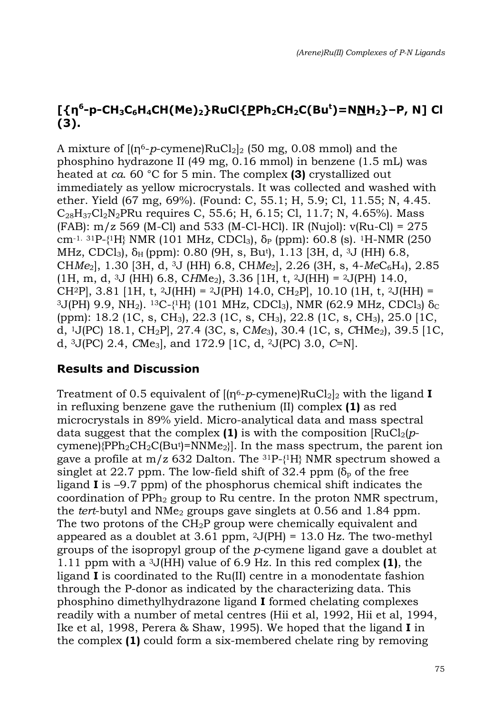### **[{η6-***p***-CH3C6H4CH(Me)2}RuCl{PPh2CH2C(But )=NNH2}–***P***,** *N***] Cl (3).**

A mixture of  $[(n^6-p-cv$  mene  $RuCl<sub>2</sub>]$  (50 mg, 0.08 mmol) and the phosphino hydrazone II (49 mg, 0.16 mmol) in benzene (1.5 mL) was heated at *ca*. 60 °C for 5 min. The complex **(3)** crystallized out immediately as yellow microcrystals. It was collected and washed with ether. Yield (67 mg, 69%). (Found: C, 55.1; H, 5.9; Cl, 11.55; N, 4.45.  $C_{28}H_{37}Cl_{2}N_{2}PRu$  requires C, 55.6; H, 6.15; Cl, 11.7; N, 4.65%). Mass (FAB):  $m/z$  569 (M-Cl) and 533 (M-Cl-HCl). IR (Nujol):  $v(Ru-Cl) = 275$ cm<sup>-1. 31</sup>P-{<sup>1</sup>H} NMR (101 MHz, CDCl<sub>3</sub>),  $\delta_P$  (ppm): 60.8 (s). <sup>1</sup>H-NMR (250 MHz, CDCl<sub>3</sub>),  $\delta_H$  (ppm): 0.80 (9H, s, Bu<sup>t</sup>), 1.13 [3H, d, <sup>3</sup>J (HH) 6.8, CH*Me*2], 1.30 [3H, d, 3J (HH) 6.8, CH*Me*2], 2.26 (3H, s, 4-*Me*C6H4), 2.85  $(1H, m, d, {}^{3}J$  (HH) 6.8, CHMe<sub>2</sub>), 3.36 [1H, t, <sup>2</sup>J(HH) = <sup>2</sup>J(PH) 14.0, CH<sup>2</sup>P, 3.81 [1H, t, <sup>2</sup>J(HH) = <sup>2</sup>J(PH) 14.0, CH<sub>2</sub>P, 10.10 (1H, t, <sup>2</sup>J(HH) =  $3J(PH)$  9.9, NH<sub>2</sub>).  $13C-\{1H\}$  (101 MHz, CDCl<sub>3</sub>), NMR (62.9 MHz, CDCl<sub>3</sub>) δ<sub>C</sub> (ppm): 18.2 (1C, s, CH3), 22.3 (1C, s, CH3), 22.8 (1C, s, CH3), 25.0 [1C, d, <sup>1</sup>J(PC) 18.1, CH<sub>2</sub>P, 27.4 (3C, s, CMe<sub>3</sub>), 30.4 (1C, s, CHMe<sub>2</sub>), 39.5 [1C, d, 3J(PC) 2.4, *C*Me3], and 172.9 [1C, d, 2J(PC) 3.0, *C*=N].

#### **Results and Discussion**

Treatment of 0.5 equivalent of  $[(n^6-p-cymene)RuCl<sub>2</sub>]$ <sub>2</sub> with the ligand **I** in refluxing benzene gave the ruthenium (II) complex **(1)** as red microcrystals in 89% yield. Micro-analytical data and mass spectral data suggest that the complex **(1)** is with the composition  $\text{RuCl}_2(p$ cymene){PPh<sub>2</sub>CH<sub>2</sub>C(But)=NNMe<sub>2</sub>}]. In the mass spectrum, the parent ion gave a profile at  $m/z$  632 Dalton. The <sup>31</sup>P- $\{1H\}$  NMR spectrum showed a singlet at 22.7 ppm. The low-field shift of 32.4 ppm  $(\delta_p)$  of the free ligand **I** is –9.7 ppm) of the phosphorus chemical shift indicates the coordination of  $PPh<sub>2</sub>$  group to Ru centre. In the proton NMR spectrum, the *tert*-butyl and NMe<sub>2</sub> groups gave singlets at 0.56 and 1.84 ppm. The two protons of the  $CH<sub>2</sub>P$  group were chemically equivalent and appeared as a doublet at 3.61 ppm,  $2J(PH) = 13.0$  Hz. The two-methyl groups of the isopropyl group of the *p-*cymene ligand gave a doublet at 1.11 ppm with a 3J(HH) value of 6.9 Hz. In this red complex **(1)**, the ligand **I** is coordinated to the Ru(II) centre in a monodentate fashion through the P-donor as indicated by the characterizing data. This phosphino dimethylhydrazone ligand **I** formed chelating complexes readily with a number of metal centres (Hii et al, 1992, Hii et al, 1994, Ike et al, 1998, Perera & Shaw, 1995). We hoped that the ligand **I** in the complex **(1)** could form a six-membered chelate ring by removing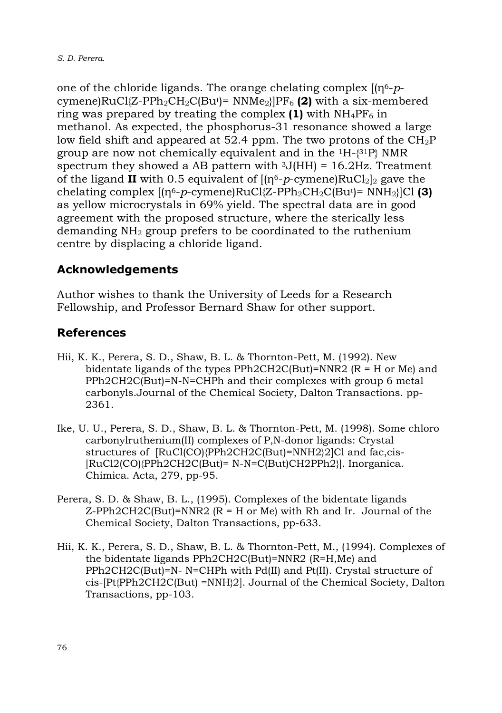one of the chloride ligands. The orange chelating complex [(η6-*p*cymene)RuCl{Z-PPh2CH2C(But)= NNMe2}]PF6 **(2)** with a six-membered ring was prepared by treating the complex  $(1)$  with  $NH_4PF_6$  in methanol. As expected, the phosphorus-31 resonance showed a large low field shift and appeared at 52.4 ppm. The two protons of the  $CH_2P$ group are now not chemically equivalent and in the 1H-{31P} NMR spectrum they showed a AB pattern with  $3J(HH) = 16.2Hz$ . Treatment of the ligand **II** with 0.5 equivalent of  $[(n^6-p-cy)]$  gave the chelating complex  $[(n^6-p-cymene)RuClZ-PPh_2CH_2C(Bu^t) = NNH_2][Cl (3)]$ as yellow microcrystals in 69% yield. The spectral data are in good agreement with the proposed structure, where the sterically less demanding  $NH<sub>2</sub>$  group prefers to be coordinated to the ruthenium centre by displacing a chloride ligand.

#### **Acknowledgements**

Author wishes to thank the University of Leeds for a Research Fellowship, and Professor Bernard Shaw for other support.

#### **References**

- Hii, K. K., Perera, S. D., Shaw, B. L. & Thornton-Pett, M. (1992). New bidentate ligands of the types  $PPh2CH2C(But)=NNR2$  (R = H or Me) and PPh2CH2C(But)=N-N=CHPh and their complexes with group 6 metal carbonyls.Journal of the Chemical Society, Dalton Transactions. pp-2361.
- Ike, U. U., Perera, S. D., Shaw, B. L. & Thornton-Pett, M. (1998). Some chloro carbonylruthenium(II) complexes of P,N-donor ligands: Crystal structures of [RuCl(CO){PPh2CH2C(But)=NNH2}2]Cl and fac,cis- [RuCl2(CO){PPh2CH2C(But)= N-N=C(But)CH2PPh2}]. Inorganica. Chimica. Acta, 279, pp-95.
- Perera, S. D. & Shaw, B. L., (1995). Complexes of the bidentate ligands Z-PPh2CH2C(But)=NNR2 ( $R = H$  or Me) with Rh and Ir. Journal of the Chemical Society, Dalton Transactions, pp-633.
- Hii, K. K., Perera, S. D., Shaw, B. L. & Thornton-Pett, M., (1994). Complexes of the bidentate ligands PPh2CH2C(But)=NNR2 (R=H,Me) and PPh2CH2C(But)=N- N=CHPh with Pd(II) and Pt(II). Crystal structure of cis-[Pt{PPh2CH2C(But) =NNH}2]. Journal of the Chemical Society, Dalton Transactions, pp-103.